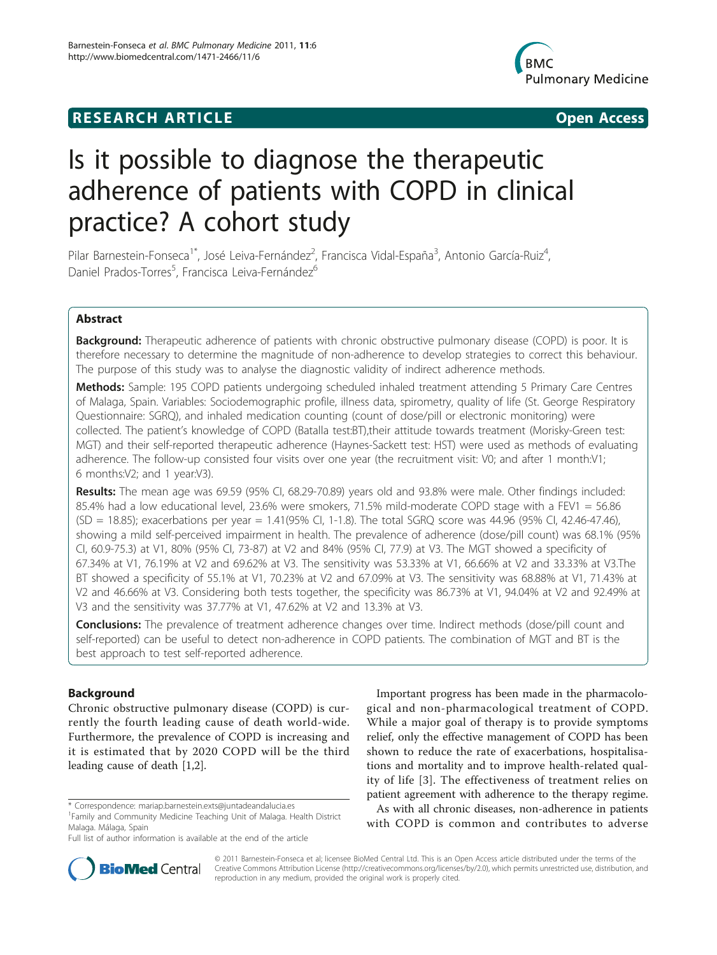# **RESEARCH ARTICLE CONSUMING A RESEARCH ARTICLE**



# Is it possible to diagnose the therapeutic adherence of patients with COPD in clinical practice? A cohort study

Pilar Barnestein-Fonseca<sup>1\*</sup>, José Leiva-Fernández<sup>2</sup>, Francisca Vidal-España<sup>3</sup>, Antonio García-Ruiz<sup>4</sup> , Daniel Prados-Torres<sup>5</sup>, Francisca Leiva-Fernández<sup>6</sup>

# Abstract

**Background:** Therapeutic adherence of patients with chronic obstructive pulmonary disease (COPD) is poor. It is therefore necessary to determine the magnitude of non-adherence to develop strategies to correct this behaviour. The purpose of this study was to analyse the diagnostic validity of indirect adherence methods.

Methods: Sample: 195 COPD patients undergoing scheduled inhaled treatment attending 5 Primary Care Centres of Malaga, Spain. Variables: Sociodemographic profile, illness data, spirometry, quality of life (St. George Respiratory Questionnaire: SGRQ), and inhaled medication counting (count of dose/pill or electronic monitoring) were collected. The patient's knowledge of COPD (Batalla test:BT),their attitude towards treatment (Morisky-Green test: MGT) and their self-reported therapeutic adherence (Haynes-Sackett test: HST) were used as methods of evaluating adherence. The follow-up consisted four visits over one year (the recruitment visit: V0; and after 1 month:V1; 6 months:V2; and 1 year:V3).

Results: The mean age was 69.59 (95% CI, 68.29-70.89) years old and 93.8% were male. Other findings included: 85.4% had a low educational level, 23.6% were smokers, 71.5% mild-moderate COPD stage with a FEV1 = 56.86 (SD = 18.85); exacerbations per year = 1.41(95% CI, 1-1.8). The total SGRQ score was 44.96 (95% CI, 42.46-47.46), showing a mild self-perceived impairment in health. The prevalence of adherence (dose/pill count) was 68.1% (95% CI, 60.9-75.3) at V1, 80% (95% CI, 73-87) at V2 and 84% (95% CI, 77.9) at V3. The MGT showed a specificity of 67.34% at V1, 76.19% at V2 and 69.62% at V3. The sensitivity was 53.33% at V1, 66.66% at V2 and 33.33% at V3.The BT showed a specificity of 55.1% at V1, 70.23% at V2 and 67.09% at V3. The sensitivity was 68.88% at V1, 71.43% at V2 and 46.66% at V3. Considering both tests together, the specificity was 86.73% at V1, 94.04% at V2 and 92.49% at V3 and the sensitivity was 37.77% at V1, 47.62% at V2 and 13.3% at V3.

**Conclusions:** The prevalence of treatment adherence changes over time. Indirect methods (dose/pill count and self-reported) can be useful to detect non-adherence in COPD patients. The combination of MGT and BT is the best approach to test self-reported adherence.

# Background

Chronic obstructive pulmonary disease (COPD) is currently the fourth leading cause of death world-wide. Furthermore, the prevalence of COPD is increasing and it is estimated that by 2020 COPD will be the third leading cause of death [\[1](#page-8-0)[,2](#page-9-0)].

Important progress has been made in the pharmacological and non-pharmacological treatment of COPD. While a major goal of therapy is to provide symptoms relief, only the effective management of COPD has been shown to reduce the rate of exacerbations, hospitalisations and mortality and to improve health-related quality of life [\[3\]](#page-9-0). The effectiveness of treatment relies on patient agreement with adherence to the therapy regime.

As with all chronic diseases, non-adherence in patients with COPD is common and contributes to adverse



© 2011 Barnestein-Fonseca et al; licensee BioMed Central Ltd. This is an Open Access article distributed under the terms of the Creative Commons Attribution License (<http://creativecommons.org/licenses/by/2.0>), which permits unrestricted use, distribution, and reproduction in any medium, provided the original work is properly cited.

<sup>\*</sup> Correspondence: [mariap.barnestein.exts@juntadeandalucia.es](mailto:mariap.barnestein.exts@juntadeandalucia.es)

<sup>&</sup>lt;sup>1</sup> Family and Community Medicine Teaching Unit of Malaga. Health District Malaga. Málaga, Spain

Full list of author information is available at the end of the article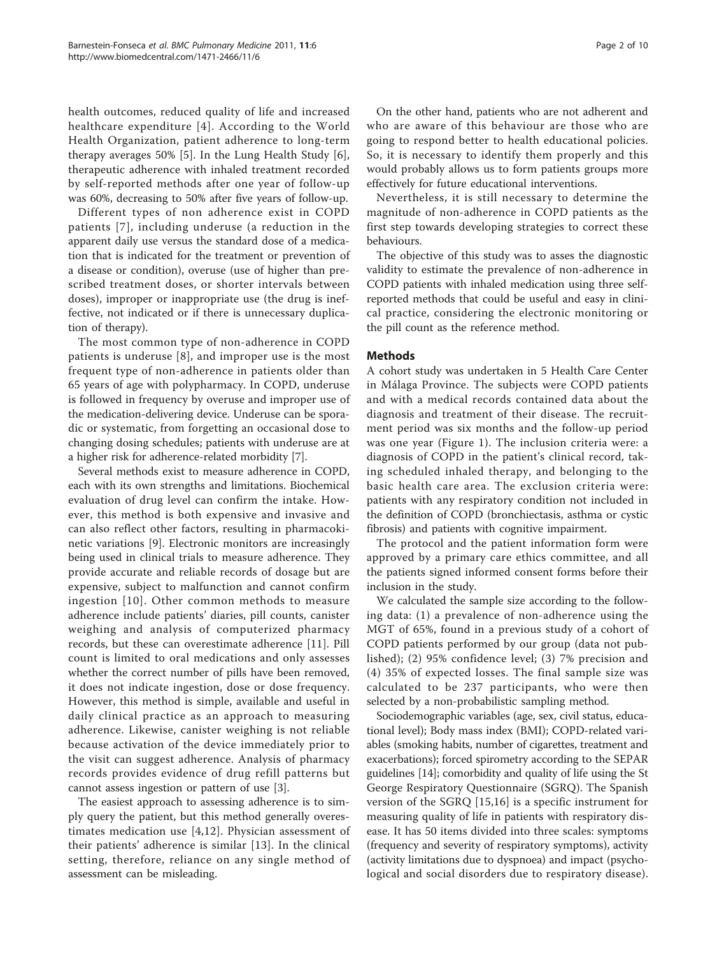health outcomes, reduced quality of life and increased healthcare expenditure [[4](#page-9-0)]. According to the World Health Organization, patient adherence to long-term therapy averages 50% [\[5](#page-9-0)]. In the Lung Health Study [\[6](#page-9-0)], therapeutic adherence with inhaled treatment recorded by self-reported methods after one year of follow-up was 60%, decreasing to 50% after five years of follow-up.

Different types of non adherence exist in COPD patients [[7\]](#page-9-0), including underuse (a reduction in the apparent daily use versus the standard dose of a medication that is indicated for the treatment or prevention of a disease or condition), overuse (use of higher than prescribed treatment doses, or shorter intervals between doses), improper or inappropriate use (the drug is ineffective, not indicated or if there is unnecessary duplication of therapy).

The most common type of non-adherence in COPD patients is underuse [[8\]](#page-9-0), and improper use is the most frequent type of non-adherence in patients older than 65 years of age with polypharmacy. In COPD, underuse is followed in frequency by overuse and improper use of the medication-delivering device. Underuse can be sporadic or systematic, from forgetting an occasional dose to changing dosing schedules; patients with underuse are at a higher risk for adherence-related morbidity [\[7](#page-9-0)].

Several methods exist to measure adherence in COPD, each with its own strengths and limitations. Biochemical evaluation of drug level can confirm the intake. However, this method is both expensive and invasive and can also reflect other factors, resulting in pharmacokinetic variations [[9\]](#page-9-0). Electronic monitors are increasingly being used in clinical trials to measure adherence. They provide accurate and reliable records of dosage but are expensive, subject to malfunction and cannot confirm ingestion [[10\]](#page-9-0). Other common methods to measure adherence include patients' diaries, pill counts, canister weighing and analysis of computerized pharmacy records, but these can overestimate adherence [\[11](#page-9-0)]. Pill count is limited to oral medications and only assesses whether the correct number of pills have been removed, it does not indicate ingestion, dose or dose frequency. However, this method is simple, available and useful in daily clinical practice as an approach to measuring adherence. Likewise, canister weighing is not reliable because activation of the device immediately prior to the visit can suggest adherence. Analysis of pharmacy records provides evidence of drug refill patterns but cannot assess ingestion or pattern of use [\[3](#page-9-0)].

The easiest approach to assessing adherence is to simply query the patient, but this method generally overestimates medication use [\[4](#page-9-0),[12\]](#page-9-0). Physician assessment of their patients' adherence is similar [[13\]](#page-9-0). In the clinical setting, therefore, reliance on any single method of assessment can be misleading.

On the other hand, patients who are not adherent and who are aware of this behaviour are those who are going to respond better to health educational policies. So, it is necessary to identify them properly and this would probably allows us to form patients groups more effectively for future educational interventions.

Nevertheless, it is still necessary to determine the magnitude of non-adherence in COPD patients as the first step towards developing strategies to correct these behaviours.

The objective of this study was to asses the diagnostic validity to estimate the prevalence of non-adherence in COPD patients with inhaled medication using three selfreported methods that could be useful and easy in clinical practice, considering the electronic monitoring or the pill count as the reference method.

# Methods

A cohort study was undertaken in 5 Health Care Center in Málaga Province. The subjects were COPD patients and with a medical records contained data about the diagnosis and treatment of their disease. The recruitment period was six months and the follow-up period was one year (Figure [1\)](#page-2-0). The inclusion criteria were: a diagnosis of COPD in the patient's clinical record, taking scheduled inhaled therapy, and belonging to the basic health care area. The exclusion criteria were: patients with any respiratory condition not included in the definition of COPD (bronchiectasis, asthma or cystic fibrosis) and patients with cognitive impairment.

The protocol and the patient information form were approved by a primary care ethics committee, and all the patients signed informed consent forms before their inclusion in the study.

We calculated the sample size according to the following data: (1) a prevalence of non-adherence using the MGT of 65%, found in a previous study of a cohort of COPD patients performed by our group (data not published); (2) 95% confidence level; (3) 7% precision and (4) 35% of expected losses. The final sample size was calculated to be 237 participants, who were then selected by a non-probabilistic sampling method.

Sociodemographic variables (age, sex, civil status, educational level); Body mass index (BMI); COPD-related variables (smoking habits, number of cigarettes, treatment and exacerbations); forced spirometry according to the SEPAR guidelines [\[14\]](#page-9-0); comorbidity and quality of life using the St George Respiratory Questionnaire (SGRQ). The Spanish version of the SGRQ [[15,16](#page-9-0)] is a specific instrument for measuring quality of life in patients with respiratory disease. It has 50 items divided into three scales: symptoms (frequency and severity of respiratory symptoms), activity (activity limitations due to dyspnoea) and impact (psychological and social disorders due to respiratory disease).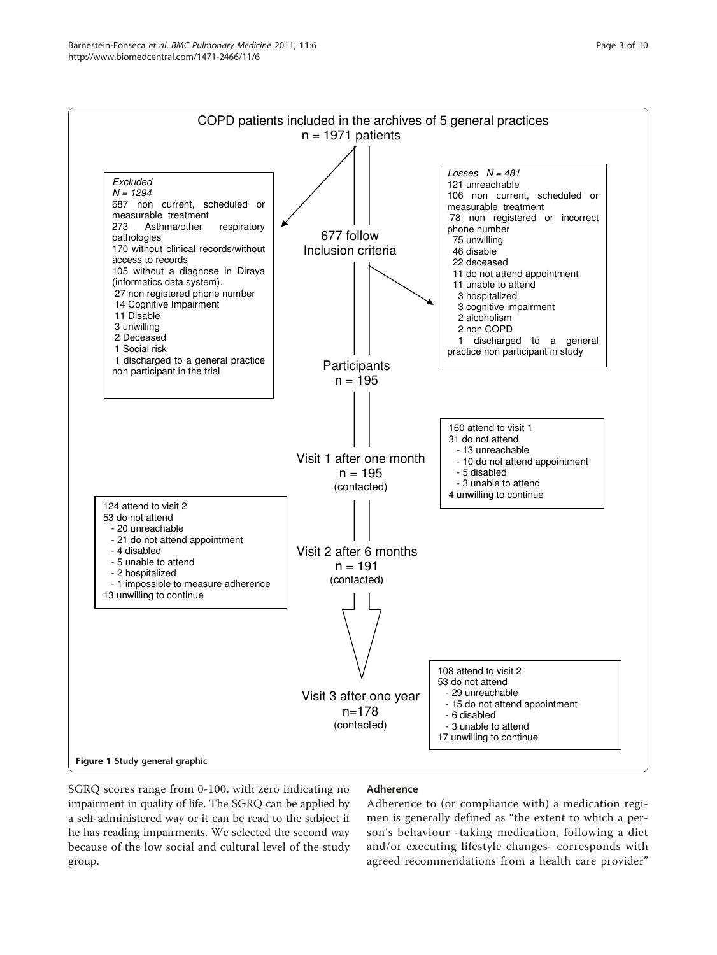<span id="page-2-0"></span>

SGRQ scores range from 0-100, with zero indicating no impairment in quality of life. The SGRQ can be applied by a self-administered way or it can be read to the subject if he has reading impairments. We selected the second way because of the low social and cultural level of the study group.

# Adherence

Adherence to (or compliance with) a medication regimen is generally defined as "the extent to which a person's behaviour -taking medication, following a diet and/or executing lifestyle changes- corresponds with agreed recommendations from a health care provider"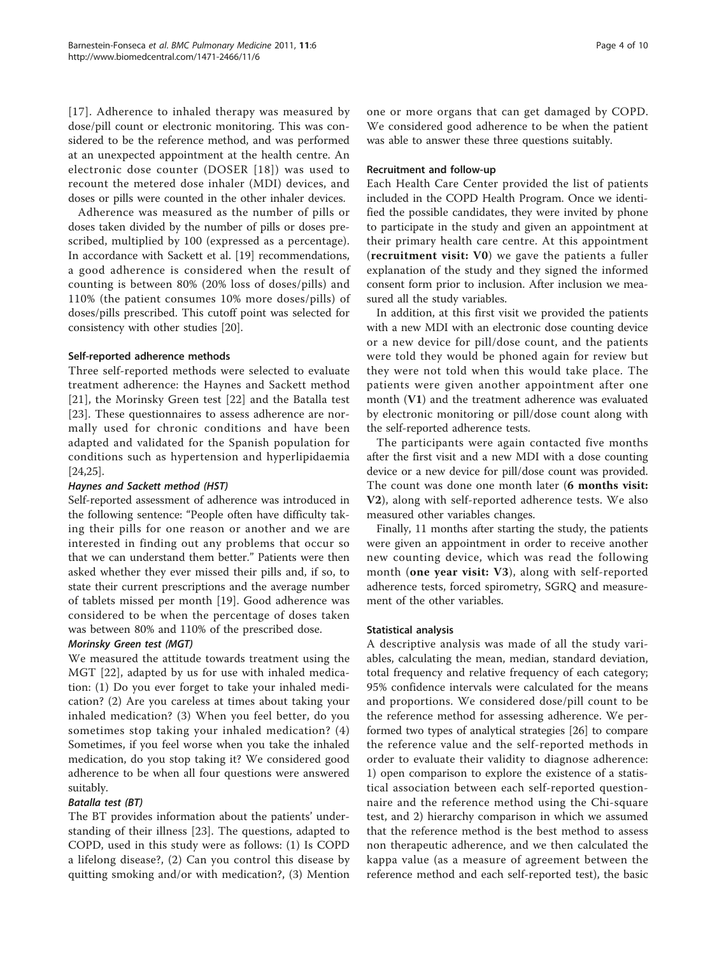[[17\]](#page-9-0). Adherence to inhaled therapy was measured by dose/pill count or electronic monitoring. This was considered to be the reference method, and was performed at an unexpected appointment at the health centre. An electronic dose counter (DOSER [[18\]](#page-9-0)) was used to recount the metered dose inhaler (MDI) devices, and doses or pills were counted in the other inhaler devices.

Adherence was measured as the number of pills or doses taken divided by the number of pills or doses prescribed, multiplied by 100 (expressed as a percentage). In accordance with Sackett et al. [[19](#page-9-0)] recommendations, a good adherence is considered when the result of counting is between 80% (20% loss of doses/pills) and 110% (the patient consumes 10% more doses/pills) of doses/pills prescribed. This cutoff point was selected for consistency with other studies [[20\]](#page-9-0).

# Self-reported adherence methods

Three self-reported methods were selected to evaluate treatment adherence: the Haynes and Sackett method [[21](#page-9-0)], the Morinsky Green test [[22](#page-9-0)] and the Batalla test [[23\]](#page-9-0). These questionnaires to assess adherence are normally used for chronic conditions and have been adapted and validated for the Spanish population for conditions such as hypertension and hyperlipidaemia [[24,25\]](#page-9-0).

### Haynes and Sackett method (HST)

Self-reported assessment of adherence was introduced in the following sentence: "People often have difficulty taking their pills for one reason or another and we are interested in finding out any problems that occur so that we can understand them better." Patients were then asked whether they ever missed their pills and, if so, to state their current prescriptions and the average number of tablets missed per month [\[19](#page-9-0)]. Good adherence was considered to be when the percentage of doses taken was between 80% and 110% of the prescribed dose.

# Morinsky Green test (MGT)

We measured the attitude towards treatment using the MGT [[22\]](#page-9-0), adapted by us for use with inhaled medication: (1) Do you ever forget to take your inhaled medication? (2) Are you careless at times about taking your inhaled medication? (3) When you feel better, do you sometimes stop taking your inhaled medication? (4) Sometimes, if you feel worse when you take the inhaled medication, do you stop taking it? We considered good adherence to be when all four questions were answered suitably.

# Batalla test (BT)

The BT provides information about the patients' understanding of their illness [\[23](#page-9-0)]. The questions, adapted to COPD, used in this study were as follows: (1) Is COPD a lifelong disease?, (2) Can you control this disease by quitting smoking and/or with medication?, (3) Mention one or more organs that can get damaged by COPD. We considered good adherence to be when the patient was able to answer these three questions suitably.

### Recruitment and follow-up

Each Health Care Center provided the list of patients included in the COPD Health Program. Once we identified the possible candidates, they were invited by phone to participate in the study and given an appointment at their primary health care centre. At this appointment (recruitment visit: V0) we gave the patients a fuller explanation of the study and they signed the informed consent form prior to inclusion. After inclusion we measured all the study variables.

In addition, at this first visit we provided the patients with a new MDI with an electronic dose counting device or a new device for pill/dose count, and the patients were told they would be phoned again for review but they were not told when this would take place. The patients were given another appointment after one month (V1) and the treatment adherence was evaluated by electronic monitoring or pill/dose count along with the self-reported adherence tests.

The participants were again contacted five months after the first visit and a new MDI with a dose counting device or a new device for pill/dose count was provided. The count was done one month later (6 months visit: V2), along with self-reported adherence tests. We also measured other variables changes.

Finally, 11 months after starting the study, the patients were given an appointment in order to receive another new counting device, which was read the following month (one year visit: V3), along with self-reported adherence tests, forced spirometry, SGRQ and measurement of the other variables.

### Statistical analysis

A descriptive analysis was made of all the study variables, calculating the mean, median, standard deviation, total frequency and relative frequency of each category; 95% confidence intervals were calculated for the means and proportions. We considered dose/pill count to be the reference method for assessing adherence. We performed two types of analytical strategies [[26\]](#page-9-0) to compare the reference value and the self-reported methods in order to evaluate their validity to diagnose adherence: 1) open comparison to explore the existence of a statistical association between each self-reported questionnaire and the reference method using the Chi-square test, and 2) hierarchy comparison in which we assumed that the reference method is the best method to assess non therapeutic adherence, and we then calculated the kappa value (as a measure of agreement between the reference method and each self-reported test), the basic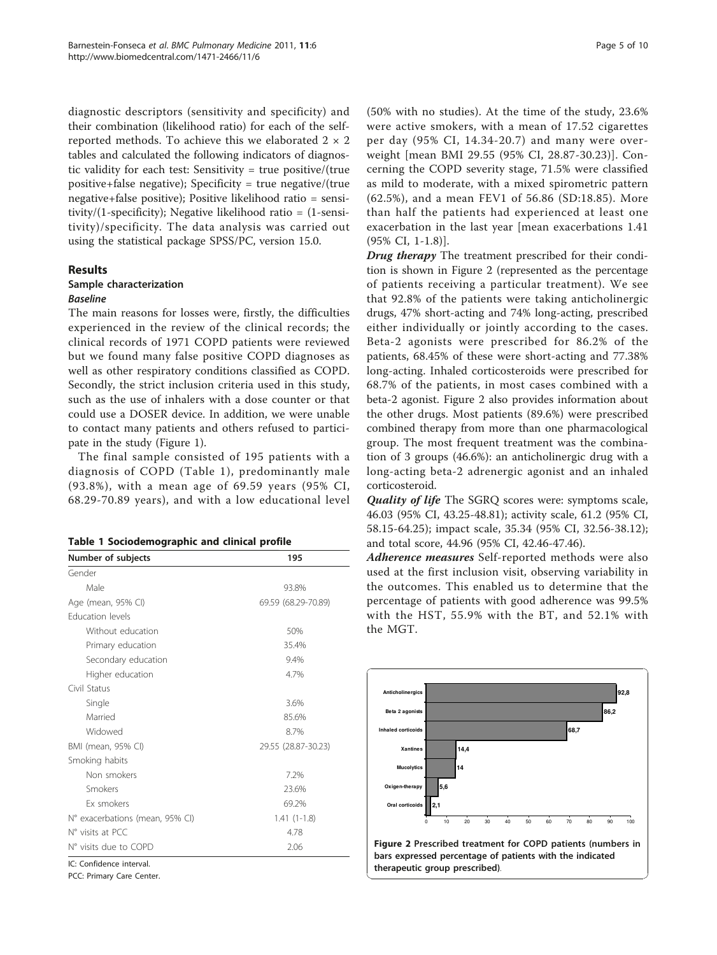diagnostic descriptors (sensitivity and specificity) and their combination (likelihood ratio) for each of the selfreported methods. To achieve this we elaborated  $2 \times 2$ tables and calculated the following indicators of diagnostic validity for each test: Sensitivity = true positive/(true positive+false negative); Specificity = true negative/(true negative+false positive); Positive likelihood ratio = sensitivity/(1-specificity); Negative likelihood ratio = (1-sensitivity)/specificity. The data analysis was carried out using the statistical package SPSS/PC, version 15.0.

# Results

# Sample characterization

### Baseline

The main reasons for losses were, firstly, the difficulties experienced in the review of the clinical records; the clinical records of 1971 COPD patients were reviewed but we found many false positive COPD diagnoses as well as other respiratory conditions classified as COPD. Secondly, the strict inclusion criteria used in this study, such as the use of inhalers with a dose counter or that could use a DOSER device. In addition, we were unable to contact many patients and others refused to participate in the study (Figure [1](#page-2-0)).

The final sample consisted of 195 patients with a diagnosis of COPD (Table 1), predominantly male (93.8%), with a mean age of 69.59 years (95% CI, 68.29-70.89 years), and with a low educational level

|  |  | Table 1 Sociodemographic and clinical profile |  |  |  |  |
|--|--|-----------------------------------------------|--|--|--|--|
|--|--|-----------------------------------------------|--|--|--|--|

| Number of subjects              | 195                 |
|---------------------------------|---------------------|
| Gender                          |                     |
| Male                            | 93.8%               |
| Age (mean, 95% CI)              | 69.59 (68.29-70.89) |
| <b>Education levels</b>         |                     |
| Without education               | 50%                 |
| Primary education               | 35.4%               |
| Secondary education             | 9.4%                |
| Higher education                | 4.7%                |
| Civil Status                    |                     |
| Single                          | 3.6%                |
| Married                         | 85.6%               |
| Widowed                         | 8.7%                |
| BMI (mean, 95% CI)              | 29.55 (28.87-30.23) |
| Smoking habits                  |                     |
| Non smokers                     | 7.2%                |
| Smokers                         | 23.6%               |
| <b>Fx smokers</b>               | 69.2%               |
| N° exacerbations (mean, 95% CI) | $1.41(1-1.8)$       |
| N° visits at PCC                | 4.78                |
| N° visits due to COPD           | 2.06                |
| IC: Confidence interval.        |                     |

PCC: Primary Care Center.

(50% with no studies). At the time of the study, 23.6% were active smokers, with a mean of 17.52 cigarettes per day (95% CI, 14.34-20.7) and many were overweight [mean BMI 29.55 (95% CI, 28.87-30.23)]. Concerning the COPD severity stage, 71.5% were classified as mild to moderate, with a mixed spirometric pattern (62.5%), and a mean FEV1 of 56.86 (SD:18.85). More than half the patients had experienced at least one exacerbation in the last year [mean exacerbations 1.41 (95% CI, 1-1.8)].

Drug therapy The treatment prescribed for their condition is shown in Figure 2 (represented as the percentage of patients receiving a particular treatment). We see that 92.8% of the patients were taking anticholinergic drugs, 47% short-acting and 74% long-acting, prescribed either individually or jointly according to the cases. Beta-2 agonists were prescribed for 86.2% of the patients, 68.45% of these were short-acting and 77.38% long-acting. Inhaled corticosteroids were prescribed for 68.7% of the patients, in most cases combined with a beta-2 agonist. Figure 2 also provides information about the other drugs. Most patients (89.6%) were prescribed combined therapy from more than one pharmacological group. The most frequent treatment was the combination of 3 groups (46.6%): an anticholinergic drug with a long-acting beta-2 adrenergic agonist and an inhaled corticosteroid.

Quality of life The SGRQ scores were: symptoms scale, 46.03 (95% CI, 43.25-48.81); activity scale, 61.2 (95% CI, 58.15-64.25); impact scale, 35.34 (95% CI, 32.56-38.12); and total score, 44.96 (95% CI, 42.46-47.46).

Adherence measures Self-reported methods were also used at the first inclusion visit, observing variability in the outcomes. This enabled us to determine that the percentage of patients with good adherence was 99.5% with the HST, 55.9% with the BT, and 52.1% with the MGT.

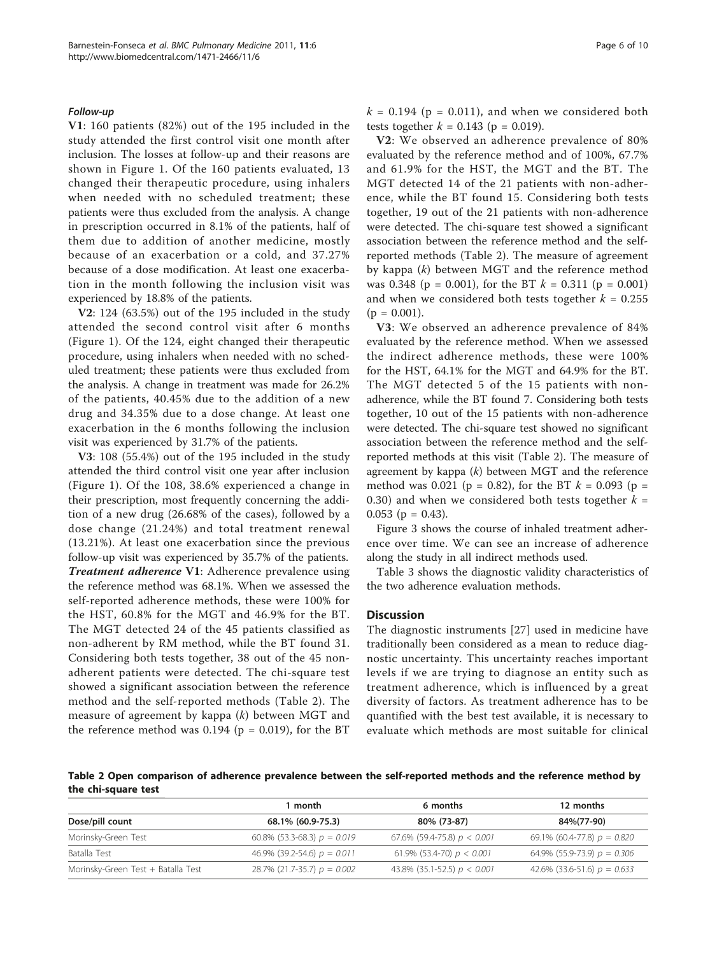### <span id="page-5-0"></span>Follow-up

V1: 160 patients (82%) out of the 195 included in the study attended the first control visit one month after inclusion. The losses at follow-up and their reasons are shown in Figure [1](#page-2-0). Of the 160 patients evaluated, 13 changed their therapeutic procedure, using inhalers when needed with no scheduled treatment; these patients were thus excluded from the analysis. A change in prescription occurred in 8.1% of the patients, half of them due to addition of another medicine, mostly because of an exacerbation or a cold, and 37.27% because of a dose modification. At least one exacerbation in the month following the inclusion visit was experienced by 18.8% of the patients.

V2: 124 (63.5%) out of the 195 included in the study attended the second control visit after 6 months (Figure [1](#page-2-0)). Of the 124, eight changed their therapeutic procedure, using inhalers when needed with no scheduled treatment; these patients were thus excluded from the analysis. A change in treatment was made for 26.2% of the patients, 40.45% due to the addition of a new drug and 34.35% due to a dose change. At least one exacerbation in the 6 months following the inclusion visit was experienced by 31.7% of the patients.

V3: 108 (55.4%) out of the 195 included in the study attended the third control visit one year after inclusion (Figure [1\)](#page-2-0). Of the 108, 38.6% experienced a change in their prescription, most frequently concerning the addition of a new drug (26.68% of the cases), followed by a dose change (21.24%) and total treatment renewal (13.21%). At least one exacerbation since the previous follow-up visit was experienced by 35.7% of the patients. **Treatment adherence V1:** Adherence prevalence using the reference method was 68.1%. When we assessed the self-reported adherence methods, these were 100% for the HST, 60.8% for the MGT and 46.9% for the BT. The MGT detected 24 of the 45 patients classified as non-adherent by RM method, while the BT found 31. Considering both tests together, 38 out of the 45 nonadherent patients were detected. The chi-square test showed a significant association between the reference method and the self-reported methods (Table 2). The measure of agreement by kappa  $(k)$  between MGT and the reference method was  $0.194$  (p = 0.019), for the BT  $k = 0.194$  (p = 0.011), and when we considered both tests together  $k = 0.143$  (p = 0.019).

V2: We observed an adherence prevalence of 80% evaluated by the reference method and of 100%, 67.7% and 61.9% for the HST, the MGT and the BT. The MGT detected 14 of the 21 patients with non-adherence, while the BT found 15. Considering both tests together, 19 out of the 21 patients with non-adherence were detected. The chi-square test showed a significant association between the reference method and the selfreported methods (Table 2). The measure of agreement by kappa (k) between MGT and the reference method was 0.348 ( $p = 0.001$ ), for the BT  $k = 0.311$  ( $p = 0.001$ ) and when we considered both tests together  $k = 0.255$  $(p = 0.001)$ .

V3: We observed an adherence prevalence of 84% evaluated by the reference method. When we assessed the indirect adherence methods, these were 100% for the HST, 64.1% for the MGT and 64.9% for the BT. The MGT detected 5 of the 15 patients with nonadherence, while the BT found 7. Considering both tests together, 10 out of the 15 patients with non-adherence were detected. The chi-square test showed no significant association between the reference method and the selfreported methods at this visit (Table 2). The measure of agreement by kappa  $(k)$  between MGT and the reference method was 0.021 (p = 0.82), for the BT  $k = 0.093$  (p = 0.30) and when we considered both tests together  $k =$ 0.053 ( $p = 0.43$ ).

Figure [3](#page-6-0) shows the course of inhaled treatment adherence over time. We can see an increase of adherence along the study in all indirect methods used.

Table [3](#page-7-0) shows the diagnostic validity characteristics of the two adherence evaluation methods.

### **Discussion**

The diagnostic instruments [\[27](#page-9-0)] used in medicine have traditionally been considered as a mean to reduce diagnostic uncertainty. This uncertainty reaches important levels if we are trying to diagnose an entity such as treatment adherence, which is influenced by a great diversity of factors. As treatment adherence has to be quantified with the best test available, it is necessary to evaluate which methods are most suitable for clinical

Table 2 Open comparison of adherence prevalence between the self-reported methods and the reference method by the chi-square test

|                                    | ∣ month                       | 6 months                      | 12 months                     |
|------------------------------------|-------------------------------|-------------------------------|-------------------------------|
| Dose/pill count                    | 68.1% (60.9-75.3)             | 80% (73-87)                   | 84%(77-90)                    |
| Morinsky-Green Test                | 60.8% (53.3-68.3) $p = 0.019$ | 67.6% (59.4-75.8) $p < 0.001$ | 69.1% (60.4-77.8) $p = 0.820$ |
| Batalla Test                       | 46.9% (39.2-54.6) $p = 0.011$ | 61.9% (53.4-70) $p < 0.001$   | 64.9% (55.9-73.9) $p = 0.306$ |
| Morinsky-Green Test + Batalla Test | 28.7% (21.7-35.7) $p = 0.002$ | 43.8% (35.1-52.5) $p < 0.001$ | 42.6% (33.6-51.6) $p = 0.633$ |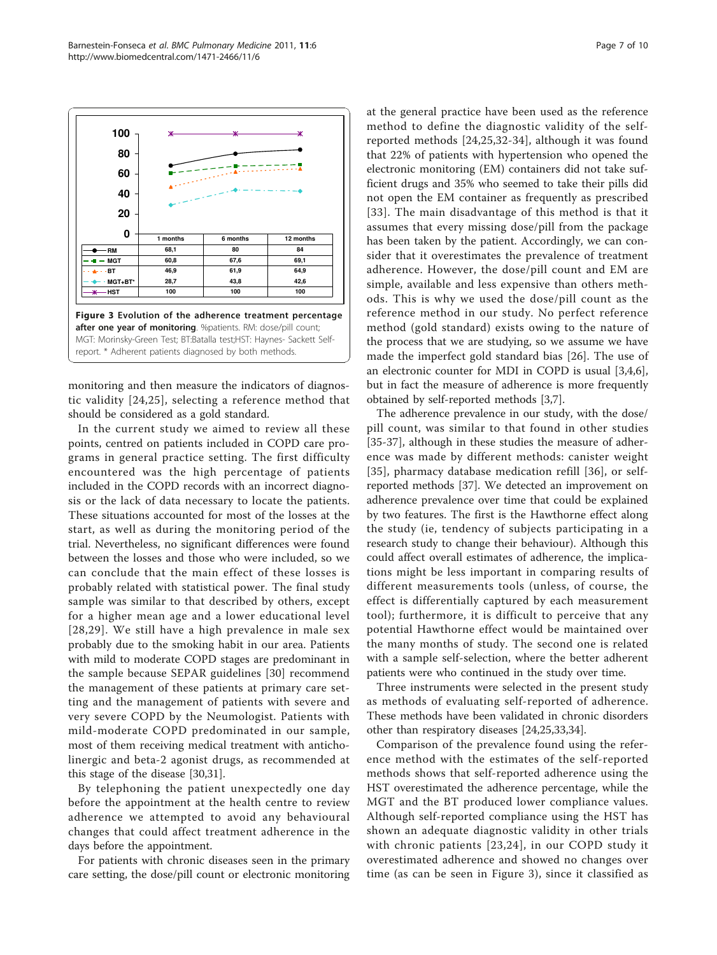monitoring and then measure the indicators of diagnostic validity [[24,25](#page-9-0)], selecting a reference method that should be considered as a gold standard.

In the current study we aimed to review all these points, centred on patients included in COPD care programs in general practice setting. The first difficulty encountered was the high percentage of patients included in the COPD records with an incorrect diagnosis or the lack of data necessary to locate the patients. These situations accounted for most of the losses at the start, as well as during the monitoring period of the trial. Nevertheless, no significant differences were found between the losses and those who were included, so we can conclude that the main effect of these losses is probably related with statistical power. The final study sample was similar to that described by others, except for a higher mean age and a lower educational level [[28,29\]](#page-9-0). We still have a high prevalence in male sex probably due to the smoking habit in our area. Patients with mild to moderate COPD stages are predominant in the sample because SEPAR guidelines [[30\]](#page-9-0) recommend the management of these patients at primary care setting and the management of patients with severe and very severe COPD by the Neumologist. Patients with mild-moderate COPD predominated in our sample, most of them receiving medical treatment with anticholinergic and beta-2 agonist drugs, as recommended at this stage of the disease [\[30,31\]](#page-9-0).

By telephoning the patient unexpectedly one day before the appointment at the health centre to review adherence we attempted to avoid any behavioural changes that could affect treatment adherence in the days before the appointment.

For patients with chronic diseases seen in the primary care setting, the dose/pill count or electronic monitoring at the general practice have been used as the reference method to define the diagnostic validity of the selfreported methods [[24](#page-9-0),[25,32](#page-9-0)-[34](#page-9-0)], although it was found that 22% of patients with hypertension who opened the electronic monitoring (EM) containers did not take sufficient drugs and 35% who seemed to take their pills did not open the EM container as frequently as prescribed [[33\]](#page-9-0). The main disadvantage of this method is that it assumes that every missing dose/pill from the package has been taken by the patient. Accordingly, we can consider that it overestimates the prevalence of treatment adherence. However, the dose/pill count and EM are simple, available and less expensive than others methods. This is why we used the dose/pill count as the reference method in our study. No perfect reference method (gold standard) exists owing to the nature of the process that we are studying, so we assume we have made the imperfect gold standard bias [\[26](#page-9-0)]. The use of an electronic counter for MDI in COPD is usual [\[3,4,6](#page-9-0)], but in fact the measure of adherence is more frequently obtained by self-reported methods [\[3,7](#page-9-0)].

The adherence prevalence in our study, with the dose/ pill count, was similar to that found in other studies [[35-37](#page-9-0)], although in these studies the measure of adherence was made by different methods: canister weight [[35](#page-9-0)], pharmacy database medication refill [[36\]](#page-9-0), or selfreported methods [\[37\]](#page-9-0). We detected an improvement on adherence prevalence over time that could be explained by two features. The first is the Hawthorne effect along the study (ie, tendency of subjects participating in a research study to change their behaviour). Although this could affect overall estimates of adherence, the implications might be less important in comparing results of different measurements tools (unless, of course, the effect is differentially captured by each measurement tool); furthermore, it is difficult to perceive that any potential Hawthorne effect would be maintained over the many months of study. The second one is related with a sample self-selection, where the better adherent patients were who continued in the study over time.

Three instruments were selected in the present study as methods of evaluating self-reported of adherence. These methods have been validated in chronic disorders other than respiratory diseases [[24,25,33,34](#page-9-0)].

Comparison of the prevalence found using the reference method with the estimates of the self-reported methods shows that self-reported adherence using the HST overestimated the adherence percentage, while the MGT and the BT produced lower compliance values. Although self-reported compliance using the HST has shown an adequate diagnostic validity in other trials with chronic patients [[23](#page-9-0),[24](#page-9-0)], in our COPD study it overestimated adherence and showed no changes over time (as can be seen in Figure 3), since it classified as

<span id="page-6-0"></span>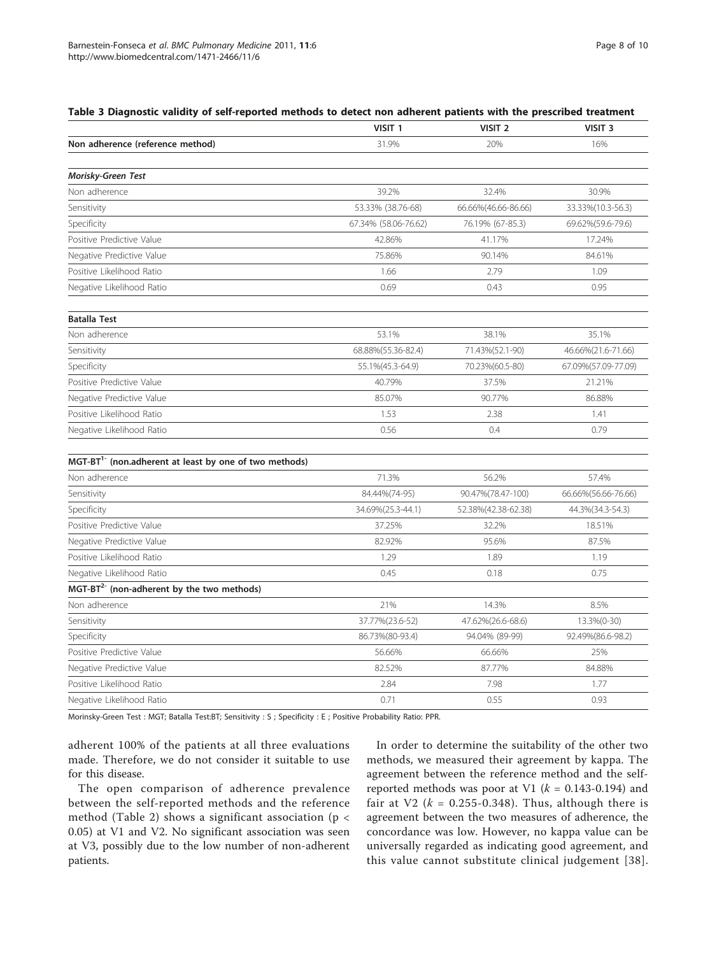<span id="page-7-0"></span>

| Table 3 Diagnostic validity of self-reported methods to detect non adherent patients with the prescribed treatment |  |  |
|--------------------------------------------------------------------------------------------------------------------|--|--|
|--------------------------------------------------------------------------------------------------------------------|--|--|

|                                                                    | VISIT <sub>1</sub>   | VISIT <sub>2</sub>  | VISIT <sub>3</sub>   |
|--------------------------------------------------------------------|----------------------|---------------------|----------------------|
| Non adherence (reference method)                                   | 31.9%                | 20%                 | 16%                  |
|                                                                    |                      |                     |                      |
| Morisky-Green Test                                                 |                      |                     |                      |
| Non adherence                                                      | 39.2%                | 32.4%               | 30.9%                |
| Sensitivity                                                        | 53.33% (38.76-68)    | 66.66%(46.66-86.66) | 33.33%(10.3-56.3)    |
| Specificity                                                        | 67.34% (58.06-76.62) | 76.19% (67-85.3)    | 69.62%(59.6-79.6)    |
| Positive Predictive Value                                          | 42.86%               | 41.17%              | 17.24%               |
| Negative Predictive Value                                          | 75.86%               | 90.14%              | 84.61%               |
| Positive Likelihood Ratio                                          | 1.66                 | 2.79                | 1.09                 |
| Negative Likelihood Ratio                                          | 0.69                 | 0.43                | 0.95                 |
| <b>Batalla Test</b>                                                |                      |                     |                      |
| Non adherence                                                      | 53.1%                | 38.1%               | 35.1%                |
| Sensitivity                                                        | 68.88%(55.36-82.4)   | 71.43%(52.1-90)     | 46.66%(21.6-71.66)   |
| Specificity                                                        | 55.1%(45.3-64.9)     | 70.23%(60.5-80)     | 67.09%(57.09-77.09)  |
| Positive Predictive Value                                          | 40.79%               | 37.5%               | 21.21%               |
| Negative Predictive Value                                          | 85.07%               | 90.77%              | 86.88%               |
| Positive Likelihood Ratio                                          | 1.53                 | 2.38                | 1.41                 |
| Negative Likelihood Ratio                                          | 0.56                 | 0.4                 | 0.79                 |
| MGT-BT <sup>1-</sup> (non.adherent at least by one of two methods) |                      |                     |                      |
| Non adherence                                                      | 71.3%                | 56.2%               | 57.4%                |
| Sensitivity                                                        | 84.44%(74-95)        | 90.47%(78.47-100)   | 66.66% (56.66-76.66) |
| Specificity                                                        | 34.69%(25.3-44.1)    | 52.38%(42.38-62.38) | 44.3%(34.3-54.3)     |
| Positive Predictive Value                                          | 37.25%               | 32.2%               | 18.51%               |
| Negative Predictive Value                                          | 82.92%               | 95.6%               | 87.5%                |
| Positive Likelihood Ratio                                          | 1.29                 | 1.89                | 1.19                 |
| Negative Likelihood Ratio                                          | 0.45                 | 0.18                | 0.75                 |
| MGT-BT <sup>2-</sup> (non-adherent by the two methods)             |                      |                     |                      |
| Non adherence                                                      | 21%                  | 14.3%               | 8.5%                 |
| Sensitivity                                                        | 37.77% (23.6-52)     | 47.62%(26.6-68.6)   | 13.3%(0-30)          |
| Specificity                                                        | 86.73%(80-93.4)      | 94.04% (89-99)      | 92.49%(86.6-98.2)    |
| Positive Predictive Value                                          | 56.66%               | 66.66%              | 25%                  |
| Negative Predictive Value                                          | 82.52%               | 87.77%              | 84.88%               |
| Positive Likelihood Ratio                                          | 2.84                 | 7.98                | 1.77                 |
| Negative Likelihood Ratio                                          | 0.71                 | 0.55                | 0.93                 |
|                                                                    |                      |                     |                      |

Morinsky-Green Test : MGT; Batalla Test:BT; Sensitivity : S ; Specificity : E ; Positive Probability Ratio: PPR.

adherent 100% of the patients at all three evaluations made. Therefore, we do not consider it suitable to use for this disease.

The open comparison of adherence prevalence between the self-reported methods and the reference method (Table [2](#page-5-0)) shows a significant association ( $p <$ 0.05) at V1 and V2. No significant association was seen at V3, possibly due to the low number of non-adherent patients.

In order to determine the suitability of the other two methods, we measured their agreement by kappa. The agreement between the reference method and the selfreported methods was poor at V1 ( $k = 0.143$ -0.194) and fair at V2 ( $k = 0.255 - 0.348$ ). Thus, although there is agreement between the two measures of adherence, the concordance was low. However, no kappa value can be universally regarded as indicating good agreement, and this value cannot substitute clinical judgement [[38\]](#page-9-0).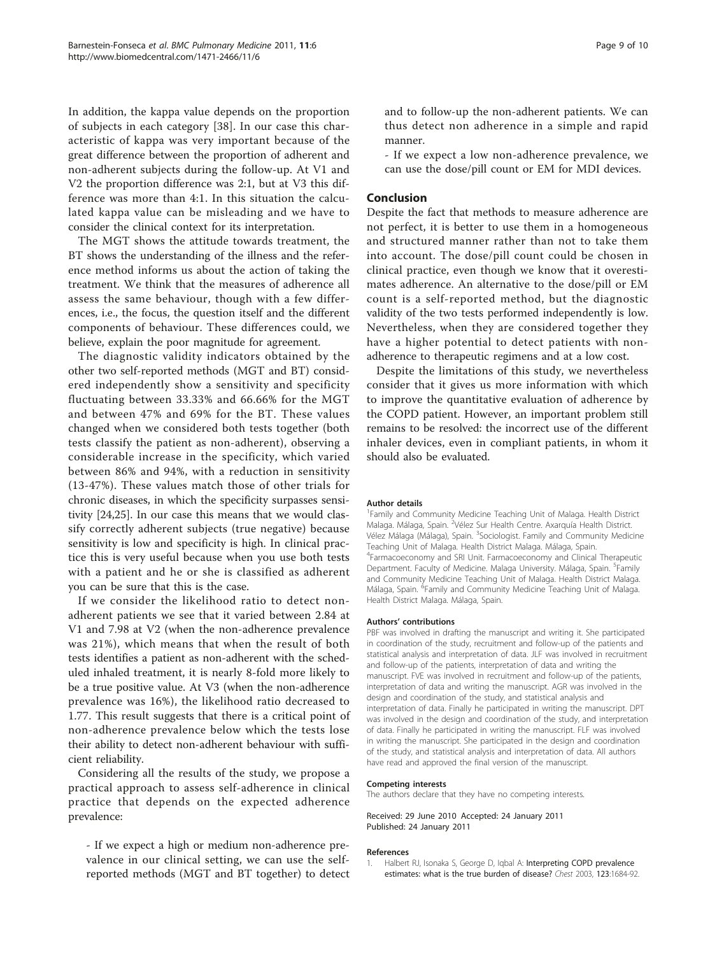<span id="page-8-0"></span>In addition, the kappa value depends on the proportion of subjects in each category [\[38](#page-9-0)]. In our case this characteristic of kappa was very important because of the great difference between the proportion of adherent and non-adherent subjects during the follow-up. At V1 and V2 the proportion difference was 2:1, but at V3 this difference was more than 4:1. In this situation the calculated kappa value can be misleading and we have to consider the clinical context for its interpretation.

The MGT shows the attitude towards treatment, the BT shows the understanding of the illness and the reference method informs us about the action of taking the treatment. We think that the measures of adherence all assess the same behaviour, though with a few differences, i.e., the focus, the question itself and the different components of behaviour. These differences could, we believe, explain the poor magnitude for agreement.

The diagnostic validity indicators obtained by the other two self-reported methods (MGT and BT) considered independently show a sensitivity and specificity fluctuating between 33.33% and 66.66% for the MGT and between 47% and 69% for the BT. These values changed when we considered both tests together (both tests classify the patient as non-adherent), observing a considerable increase in the specificity, which varied between 86% and 94%, with a reduction in sensitivity (13-47%). These values match those of other trials for chronic diseases, in which the specificity surpasses sensitivity [\[24,25\]](#page-9-0). In our case this means that we would classify correctly adherent subjects (true negative) because sensitivity is low and specificity is high. In clinical practice this is very useful because when you use both tests with a patient and he or she is classified as adherent you can be sure that this is the case.

If we consider the likelihood ratio to detect nonadherent patients we see that it varied between 2.84 at V1 and 7.98 at V2 (when the non-adherence prevalence was 21%), which means that when the result of both tests identifies a patient as non-adherent with the scheduled inhaled treatment, it is nearly 8-fold more likely to be a true positive value. At V3 (when the non-adherence prevalence was 16%), the likelihood ratio decreased to 1.77. This result suggests that there is a critical point of non-adherence prevalence below which the tests lose their ability to detect non-adherent behaviour with sufficient reliability.

Considering all the results of the study, we propose a practical approach to assess self-adherence in clinical practice that depends on the expected adherence prevalence:

- If we expect a high or medium non-adherence prevalence in our clinical setting, we can use the selfreported methods (MGT and BT together) to detect and to follow-up the non-adherent patients. We can thus detect non adherence in a simple and rapid manner.

- If we expect a low non-adherence prevalence, we can use the dose/pill count or EM for MDI devices.

### Conclusion

Despite the fact that methods to measure adherence are not perfect, it is better to use them in a homogeneous and structured manner rather than not to take them into account. The dose/pill count could be chosen in clinical practice, even though we know that it overestimates adherence. An alternative to the dose/pill or EM count is a self-reported method, but the diagnostic validity of the two tests performed independently is low. Nevertheless, when they are considered together they have a higher potential to detect patients with nonadherence to therapeutic regimens and at a low cost.

Despite the limitations of this study, we nevertheless consider that it gives us more information with which to improve the quantitative evaluation of adherence by the COPD patient. However, an important problem still remains to be resolved: the incorrect use of the different inhaler devices, even in compliant patients, in whom it should also be evaluated.

#### Author details

<sup>1</sup> Family and Community Medicine Teaching Unit of Malaga. Health District Malaga. Málaga, Spain. <sup>2</sup>Vélez Sur Health Centre. Axarquía Health District Vélez Málaga (Málaga), Spain. <sup>3</sup>Sociologist. Family and Community Medicine Teaching Unit of Malaga. Health District Malaga. Málaga, Spain. 4 Farmacoeconomy and SRI Unit. Farmacoeconomy and Clinical Therapeutic Department. Faculty of Medicine. Malaga University. Málaga, Spain. <sup>5</sup>Family and Community Medicine Teaching Unit of Malaga. Health District Malaga. Málaga, Spain. <sup>6</sup>Family and Community Medicine Teaching Unit of Malaga. Health District Malaga. Málaga, Spain.

#### Authors' contributions

PBF was involved in drafting the manuscript and writing it. She participated in coordination of the study, recruitment and follow-up of the patients and statistical analysis and interpretation of data. JLF was involved in recruitment and follow-up of the patients, interpretation of data and writing the manuscript. FVE was involved in recruitment and follow-up of the patients, interpretation of data and writing the manuscript. AGR was involved in the design and coordination of the study, and statistical analysis and interpretation of data. Finally he participated in writing the manuscript. DPT was involved in the design and coordination of the study, and interpretation of data. Finally he participated in writing the manuscript. FLF was involved in writing the manuscript. She participated in the design and coordination of the study, and statistical analysis and interpretation of data. All authors have read and approved the final version of the manuscript.

#### Competing interests

The authors declare that they have no competing interests.

Received: 29 June 2010 Accepted: 24 January 2011 Published: 24 January 2011

### References

1. Halbert RJ, Isonaka S, George D, Igbal A: [Interpreting COPD prevalence](http://www.ncbi.nlm.nih.gov/pubmed/12740290?dopt=Abstract) [estimates: what is the true burden of disease?](http://www.ncbi.nlm.nih.gov/pubmed/12740290?dopt=Abstract) Chest 2003, 123:1684-92.